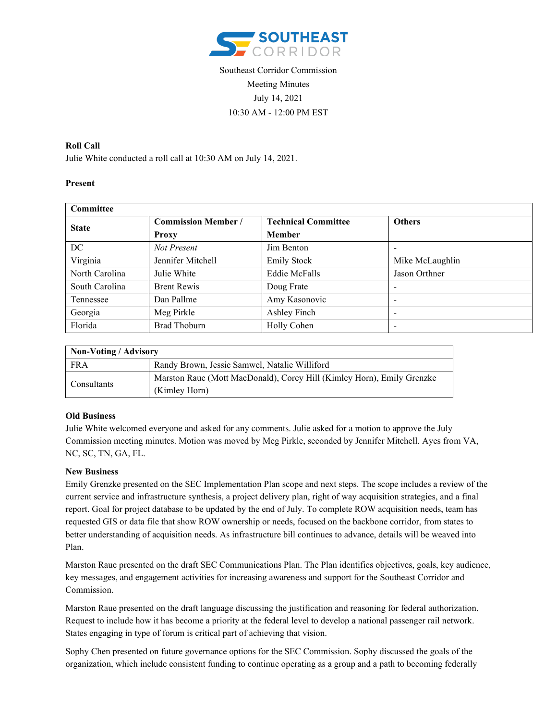

# Southeast Corridor Commission Meeting Minutes July 14, 2021 10:30 AM - 12:00 PM EST

# **Roll Call**

Julie White conducted a roll call at 10:30 AM on July 14, 2021.

## **Present**

| <b>Committee</b> |                            |                            |                          |
|------------------|----------------------------|----------------------------|--------------------------|
| <b>State</b>     | <b>Commission Member /</b> | <b>Technical Committee</b> | <b>Others</b>            |
|                  | <b>Proxy</b>               | <b>Member</b>              |                          |
| DC               | Not Present                | Jim Benton                 |                          |
| Virginia         | Jennifer Mitchell          | <b>Emily Stock</b>         | Mike McLaughlin          |
| North Carolina   | Julie White                | <b>Eddie McFalls</b>       | Jason Orthner            |
| South Carolina   | <b>Brent Rewis</b>         | Doug Frate                 | $\overline{\phantom{0}}$ |
| Tennessee        | Dan Pallme                 | Amy Kasonovic              | -                        |
| Georgia          | Meg Pirkle                 | Ashley Finch               | -                        |
| Florida          | <b>Brad Thoburn</b>        | Holly Cohen                |                          |

| Non-Voting / Advisory |                                                                                         |  |  |
|-----------------------|-----------------------------------------------------------------------------------------|--|--|
| <b>FRA</b>            | Randy Brown, Jessie Samwel, Natalie Williford                                           |  |  |
| Consultants           | Marston Raue (Mott MacDonald), Corey Hill (Kimley Horn), Emily Grenzke<br>(Kimley Horn) |  |  |

#### **Old Business**

Julie White welcomed everyone and asked for any comments. Julie asked for a motion to approve the July Commission meeting minutes. Motion was moved by Meg Pirkle, seconded by Jennifer Mitchell. Ayes from VA, NC, SC, TN, GA, FL.

#### **New Business**

Emily Grenzke presented on the SEC Implementation Plan scope and next steps. The scope includes a review of the current service and infrastructure synthesis, a project delivery plan, right of way acquisition strategies, and a final report. Goal for project database to be updated by the end of July. To complete ROW acquisition needs, team has requested GIS or data file that show ROW ownership or needs, focused on the backbone corridor, from states to better understanding of acquisition needs. As infrastructure bill continues to advance, details will be weaved into Plan.

Marston Raue presented on the draft SEC Communications Plan. The Plan identifies objectives, goals, key audience, key messages, and engagement activities for increasing awareness and support for the Southeast Corridor and Commission.

Marston Raue presented on the draft language discussing the justification and reasoning for federal authorization. Request to include how it has become a priority at the federal level to develop a national passenger rail network. States engaging in type of forum is critical part of achieving that vision.

Sophy Chen presented on future governance options for the SEC Commission. Sophy discussed the goals of the organization, which include consistent funding to continue operating as a group and a path to becoming federally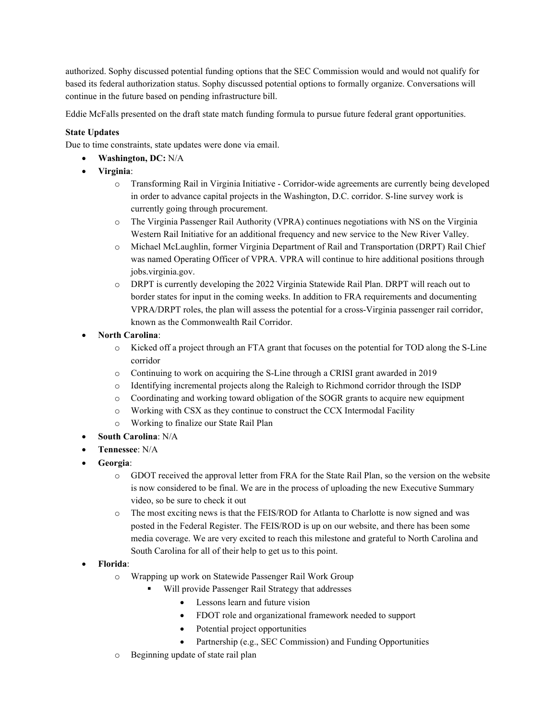authorized. Sophy discussed potential funding options that the SEC Commission would and would not qualify for based its federal authorization status. Sophy discussed potential options to formally organize. Conversations will continue in the future based on pending infrastructure bill.

Eddie McFalls presented on the draft state match funding formula to pursue future federal grant opportunities.

## **State Updates**

Due to time constraints, state updates were done via email.

- **Washington, DC:** N/A
- **Virginia**:
	- o Transforming Rail in Virginia Initiative Corridor-wide agreements are currently being developed in order to advance capital projects in the Washington, D.C. corridor. S-line survey work is currently going through procurement.
	- o The Virginia Passenger Rail Authority (VPRA) continues negotiations with NS on the Virginia Western Rail Initiative for an additional frequency and new service to the New River Valley.
	- o Michael McLaughlin, former Virginia Department of Rail and Transportation (DRPT) Rail Chief was named Operating Officer of VPRA. VPRA will continue to hire additional positions through jobs.virginia.gov.
	- o DRPT is currently developing the 2022 Virginia Statewide Rail Plan. DRPT will reach out to border states for input in the coming weeks. In addition to FRA requirements and documenting VPRA/DRPT roles, the plan will assess the potential for a cross-Virginia passenger rail corridor, known as the Commonwealth Rail Corridor.
- **North Carolina**:
	- o Kicked off a project through an FTA grant that focuses on the potential for TOD along the S-Line corridor
	- o Continuing to work on acquiring the S-Line through a CRISI grant awarded in 2019
	- o Identifying incremental projects along the Raleigh to Richmond corridor through the ISDP
	- o Coordinating and working toward obligation of the SOGR grants to acquire new equipment
	- o Working with CSX as they continue to construct the CCX Intermodal Facility
	- o Working to finalize our State Rail Plan
- **South Carolina**: N/A
- **Tennessee**: N/A
- **Georgia**:
	- o GDOT received the approval letter from FRA for the State Rail Plan, so the version on the website is now considered to be final. We are in the process of uploading the new Executive Summary video, so be sure to check it out
	- o The most exciting news is that the FEIS/ROD for Atlanta to Charlotte is now signed and was posted in the Federal Register. The FEIS/ROD is up on our website, and there has been some media coverage. We are very excited to reach this milestone and grateful to North Carolina and South Carolina for all of their help to get us to this point.
- **Florida**:
	- o Wrapping up work on Statewide Passenger Rail Work Group
		- Will provide Passenger Rail Strategy that addresses
			- Lessons learn and future vision
			- FDOT role and organizational framework needed to support
			- Potential project opportunities
			- Partnership (e.g., SEC Commission) and Funding Opportunities
	- o Beginning update of state rail plan